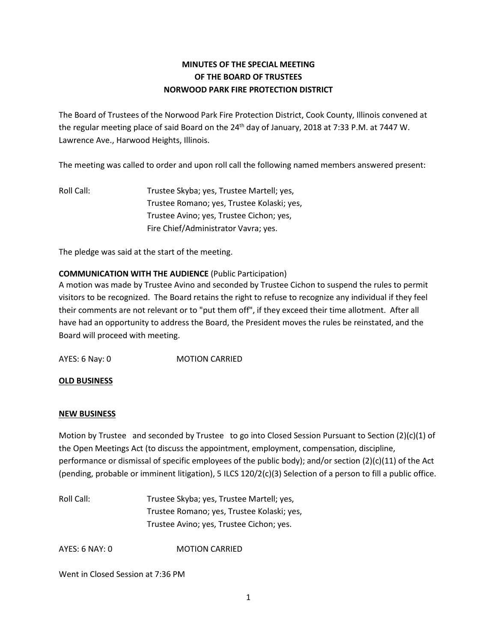## **MINUTES OF THE SPECIAL MEETING OF THE BOARD OF TRUSTEES NORWOOD PARK FIRE PROTECTION DISTRICT**

The Board of Trustees of the Norwood Park Fire Protection District, Cook County, Illinois convened at the regular meeting place of said Board on the 24<sup>th</sup> day of January, 2018 at 7:33 P.M. at 7447 W. Lawrence Ave., Harwood Heights, Illinois.

The meeting was called to order and upon roll call the following named members answered present:

Roll Call: Trustee Skyba; yes, Trustee Martell; yes, Trustee Romano; yes, Trustee Kolaski; yes, Trustee Avino; yes, Trustee Cichon; yes, Fire Chief/Administrator Vavra; yes.

The pledge was said at the start of the meeting.

## **COMMUNICATION WITH THE AUDIENCE** (Public Participation)

A motion was made by Trustee Avino and seconded by Trustee Cichon to suspend the rules to permit visitors to be recognized. The Board retains the right to refuse to recognize any individual if they feel their comments are not relevant or to "put them off", if they exceed their time allotment. After all have had an opportunity to address the Board, the President moves the rules be reinstated, and the Board will proceed with meeting.

AYES: 6 Nay: 0 MOTION CARRIED

## **OLD BUSINESS**

## **NEW BUSINESS**

Motion by Trustee and seconded by Trustee to go into Closed Session Pursuant to Section (2)(c)(1) of the Open Meetings Act (to discuss the appointment, employment, compensation, discipline, performance or dismissal of specific employees of the public body); and/or section (2)(c)(11) of the Act (pending, probable or imminent litigation), 5 ILCS 120/2(c)(3) Selection of a person to fill a public office.

Roll Call: Trustee Skyba; yes, Trustee Martell; yes, Trustee Romano; yes, Trustee Kolaski; yes, Trustee Avino; yes, Trustee Cichon; yes.

AYES: 6 NAY: 0 MOTION CARRIED

Went in Closed Session at 7:36 PM